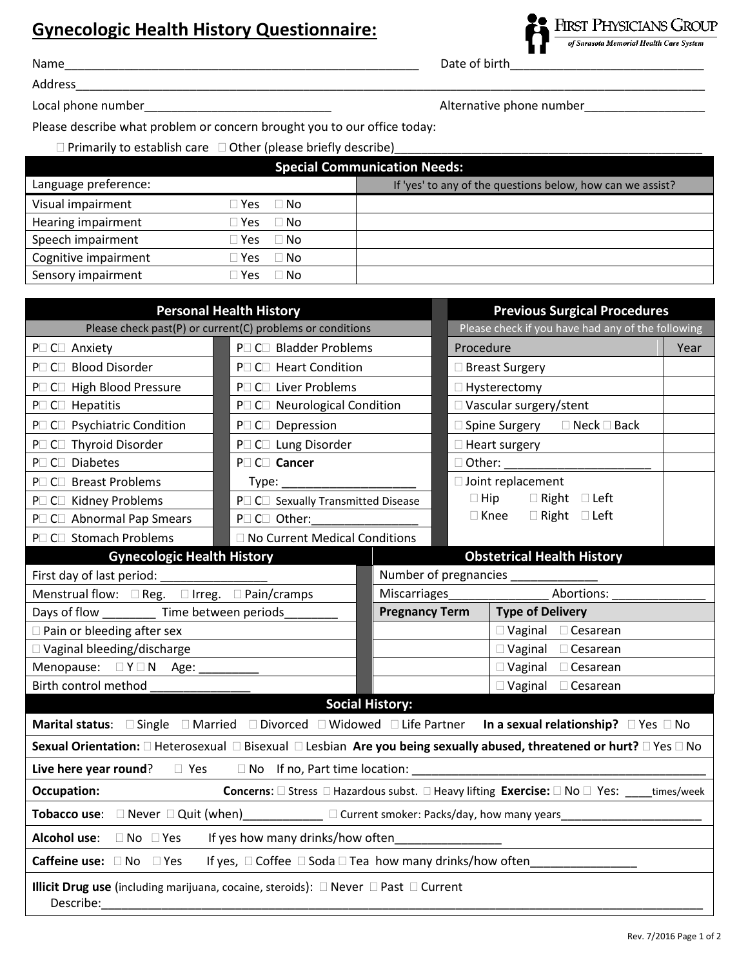## **Gynecologic Health History Questionnaire:**

Name\_\_\_\_\_\_\_\_\_\_\_\_\_\_\_\_\_\_\_\_\_\_\_\_\_\_\_\_\_\_\_\_\_\_\_\_\_\_\_\_\_\_\_\_\_\_\_\_\_\_\_\_\_ Date of birth\_\_\_\_\_\_\_\_\_\_\_\_\_\_\_\_\_\_\_\_\_\_\_\_\_\_\_\_\_

**FIRST PHYSICIANS GROUP** of Sarasota Memorial Health Care System

Address\_\_\_\_\_\_\_\_\_\_\_\_\_\_\_\_\_\_\_\_\_\_\_\_\_\_\_\_\_\_\_\_\_\_\_\_\_\_\_\_\_\_\_\_\_\_\_\_\_\_\_\_\_\_\_\_\_\_\_\_\_\_\_\_\_\_\_\_\_\_\_\_\_\_\_\_\_\_\_\_\_\_\_\_\_\_\_\_\_\_\_\_\_\_

Local phone number\_\_\_\_\_\_\_\_\_\_\_\_\_\_\_\_\_\_\_\_\_\_\_\_\_\_\_\_ Alternative phone number\_\_\_\_\_\_\_\_\_\_\_\_\_\_\_\_\_\_

Please describe what problem or concern brought you to our office today:

 $\square$  Primarily to establish care  $\square$  Other (please briefly describe)

| <b>Special Communication Needs:</b> |                    |                                                            |  |  |  |
|-------------------------------------|--------------------|------------------------------------------------------------|--|--|--|
| Language preference:                |                    | If 'yes' to any of the questions below, how can we assist? |  |  |  |
| Visual impairment                   | $\Box$ No<br>Yes   |                                                            |  |  |  |
| Hearing impairment                  | $\Box$ No<br>™es   |                                                            |  |  |  |
| Speech impairment                   | $\Box$ No<br>l Yes |                                                            |  |  |  |
| Cognitive impairment                | $\Box$ No<br>Yes   |                                                            |  |  |  |
| Sensory impairment                  | l No<br>Yes        |                                                            |  |  |  |

| <b>Personal Health History</b>                                                                                                                           |                                    |                                                  | <b>Previous Surgical Procedures</b>               |                                   |      |  |
|----------------------------------------------------------------------------------------------------------------------------------------------------------|------------------------------------|--------------------------------------------------|---------------------------------------------------|-----------------------------------|------|--|
| Please check past(P) or current(C) problems or conditions                                                                                                |                                    |                                                  | Please check if you have had any of the following |                                   |      |  |
| P□ C□ Anxiety                                                                                                                                            | P□ C□ Bladder Problems             |                                                  | Procedure                                         |                                   | Year |  |
| P□ C□ Blood Disorder                                                                                                                                     | P□ C□ Heart Condition              |                                                  | $\Box$ Breast Surgery                             |                                   |      |  |
| P <sub>C</sub> C <sub>D</sub> High Blood Pressure                                                                                                        | P□ C□ Liver Problems               |                                                  | $\Box$ Hysterectomy                               |                                   |      |  |
| P□ C□ Hepatitis                                                                                                                                          | P□ C□ Neurological Condition       |                                                  | □ Vascular surgery/stent                          |                                   |      |  |
| P□ C□ Psychiatric Condition                                                                                                                              | P□ C□ Depression                   |                                                  | $\Box$ Spine Surgery $\Box$ Neck $\Box$ Back      |                                   |      |  |
| P <sub>C</sub> C <sub>I</sub> Thyroid Disorder                                                                                                           | P□ C□ Lung Disorder                |                                                  | $\Box$ Heart surgery                              |                                   |      |  |
| P□ C□ Diabetes                                                                                                                                           | P□ C□ Cancer                       |                                                  |                                                   | $\Box$ Other:                     |      |  |
| P□ C□ Breast Problems                                                                                                                                    | Type:                              |                                                  | □ Joint replacement                               |                                   |      |  |
| P <sub>O</sub> C <sub>D</sub> Kidney Problems                                                                                                            | P□ C□ Sexually Transmitted Disease |                                                  | $\Box$ Hip $\Box$ Right $\Box$ Left               |                                   |      |  |
| P□ C□ Abnormal Pap Smears                                                                                                                                | P□ C□ Other:                       |                                                  |                                                   | □ Knee □ Right □ Left             |      |  |
| P□ C□ Stomach Problems                                                                                                                                   | □ No Current Medical Conditions    |                                                  |                                                   |                                   |      |  |
| <b>Gynecologic Health History</b>                                                                                                                        |                                    |                                                  |                                                   | <b>Obstetrical Health History</b> |      |  |
| First day of last period:                                                                                                                                |                                    | Number of pregnancies _____                      |                                                   |                                   |      |  |
| Menstrual flow: □ Reg. □ Irreg. □ Pain/cramps                                                                                                            |                                    |                                                  | Abortions:<br>Miscarriages                        |                                   |      |  |
| Days of flow Time between periods                                                                                                                        |                                    | <b>Pregnancy Term</b><br><b>Type of Delivery</b> |                                                   |                                   |      |  |
| □ Pain or bleeding after sex                                                                                                                             |                                    | $\Box$ Vaginal $\Box$ Cesarean                   |                                                   |                                   |      |  |
| □ Vaginal bleeding/discharge                                                                                                                             |                                    | $\Box$ Vaginal $\Box$ Cesarean                   |                                                   |                                   |      |  |
| Menopause: □ Y □ N Age:                                                                                                                                  |                                    |                                                  | □ Vaginal □ Cesarean                              |                                   |      |  |
| Birth control method                                                                                                                                     |                                    |                                                  |                                                   | □ Vaginal □ Cesarean              |      |  |
| <b>Social History:</b>                                                                                                                                   |                                    |                                                  |                                                   |                                   |      |  |
| Marital status: □ Single □ Married □ Divorced □ Widowed □ Life Partner<br>In a sexual relationship? $\Box$ Yes $\Box$ No                                 |                                    |                                                  |                                                   |                                   |      |  |
| Sexual Orientation: □ Heterosexual □ Bisexual □ Lesbian Are you being sexually abused, threatened or hurt? □ Yes □ No                                    |                                    |                                                  |                                                   |                                   |      |  |
|                                                                                                                                                          |                                    |                                                  |                                                   |                                   |      |  |
| <b>Occupation:</b><br><b>Concerns:</b> $\Box$ Stress $\Box$ Hazardous subst. $\Box$ Heavy lifting <b>Exercise:</b> $\Box$ No $\Box$ Yes: _____times/week |                                    |                                                  |                                                   |                                   |      |  |
| Tobacco use: □ Never □ Quit (when)___________ □ Current smoker: Packs/day, how many years_                                                               |                                    |                                                  |                                                   |                                   |      |  |
| If yes how many drinks/how often<br>Alcohol use: □ No □ Yes                                                                                              |                                    |                                                  |                                                   |                                   |      |  |
| If yes, □ Coffee □ Soda □ Tea how many drinks/how often_____<br>Caffeine use: $\square$ No $\square$ Yes                                                 |                                    |                                                  |                                                   |                                   |      |  |
| Illicit Drug use (including marijuana, cocaine, steroids): □ Never □ Past □ Current<br>Describe:                                                         |                                    |                                                  |                                                   |                                   |      |  |